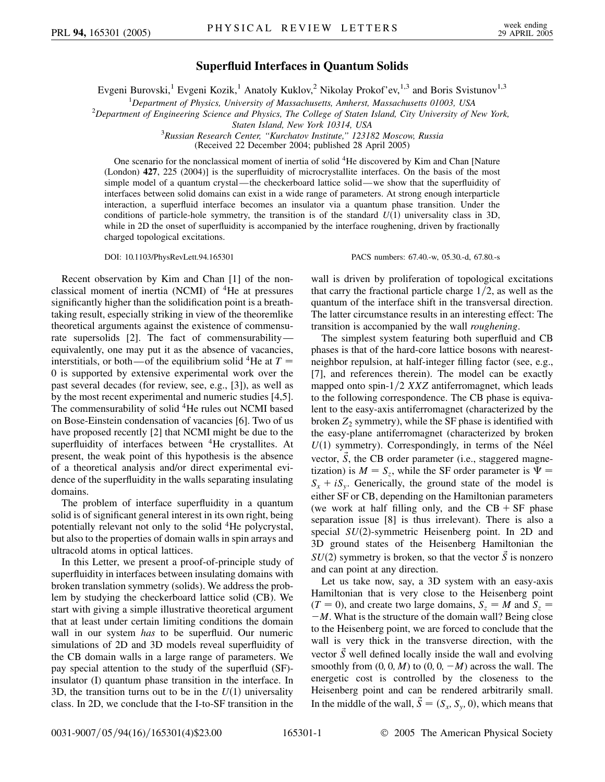## **Superfluid Interfaces in Quantum Solids**

Evgeni Burovski,<sup>1</sup> Evgeni Kozik,<sup>1</sup> Anatoly Kuklov,<sup>2</sup> Nikolay Prokof'ev,<sup>1,3</sup> and Boris Svistunov<sup>1,3</sup>

<sup>1</sup> Department of Physics, University of Massachusetts, Amherst, Massachusetts 01003, USA<br><sup>2</sup> Department of Engineering Science and Physics. The College of Staten Joland, City University of N

*Department of Engineering Science and Physics, The College of Staten Island, City University of New York,*

*Staten Island, New York 10314, USA* <sup>3</sup> *Russian Research Center, ''Kurchatov Institute,'' 123182 Moscow, Russia*

(Received 22 December 2004; published 28 April 2005)

One scenario for the nonclassical moment of inertia of solid 4He discovered by Kim and Chan [Nature (London) **427**, 225 (2004)] is the superfluidity of microcrystallite interfaces. On the basis of the most simple model of a quantum crystal—the checkerboard lattice solid—we show that the superfluidity of interfaces between solid domains can exist in a wide range of parameters. At strong enough interparticle interaction, a superfluid interface becomes an insulator via a quantum phase transition. Under the conditions of particle-hole symmetry, the transition is of the standard  $U(1)$  universality class in 3D, while in 2D the onset of superfluidity is accompanied by the interface roughening, driven by fractionally charged topological excitations.

DOI: 10.1103/PhysRevLett.94.165301 PACS numbers: 67.40.-w, 05.30.-d, 67.80.-s

Recent observation by Kim and Chan [1] of the nonclassical moment of inertia (NCMI) of  ${}^{4}$ He at pressures significantly higher than the solidification point is a breathtaking result, especially striking in view of the theoremlike theoretical arguments against the existence of commensurate supersolids [2]. The fact of commensurability equivalently, one may put it as the absence of vacancies, interstitials, or both—of the equilibrium solid <sup>4</sup>He at  $T =$ 0 is supported by extensive experimental work over the past several decades (for review, see, e.g., [3]), as well as by the most recent experimental and numeric studies [4,5]. The commensurability of solid <sup>4</sup>He rules out NCMI based on Bose-Einstein condensation of vacancies [6]. Two of us have proposed recently [2] that NCMI might be due to the superfluidity of interfaces between <sup>4</sup>He crystallites. At present, the weak point of this hypothesis is the absence of a theoretical analysis and/or direct experimental evidence of the superfluidity in the walls separating insulating domains.

The problem of interface superfluidity in a quantum solid is of significant general interest in its own right, being potentially relevant not only to the solid 4He polycrystal, but also to the properties of domain walls in spin arrays and ultracold atoms in optical lattices.

In this Letter, we present a proof-of-principle study of superfluidity in interfaces between insulating domains with broken translation symmetry (solids). We address the problem by studying the checkerboard lattice solid (CB). We start with giving a simple illustrative theoretical argument that at least under certain limiting conditions the domain wall in our system *has* to be superfluid. Our numeric simulations of 2D and 3D models reveal superfluidity of the CB domain walls in a large range of parameters. We pay special attention to the study of the superfluid (SF) insulator (I) quantum phase transition in the interface. In 3D, the transition turns out to be in the  $U(1)$  universality class. In 2D, we conclude that the I-to-SF transition in the wall is driven by proliferation of topological excitations that carry the fractional particle charge  $1/2$ , as well as the quantum of the interface shift in the transversal direction. The latter circumstance results in an interesting effect: The transition is accompanied by the wall *roughening*.

The simplest system featuring both superfluid and CB phases is that of the hard-core lattice bosons with nearestneighbor repulsion, at half-integer filling factor (see, e.g., [7], and references therein). The model can be exactly mapped onto spin-1/2 *XXZ* antiferromagnet, which leads to the following correspondence. The CB phase is equivalent to the easy-axis antiferromagnet (characterized by the broken  $Z_2$  symmetry), while the SF phase is identified with the easy-plane antiferromagnet (characterized by broken  $U(1)$  symmetry). Correspondingly, in terms of the Néel vector,  $\tilde{S}$ , the CB order parameter (i.e., staggered magnetization) is  $M = S_z$ , while the SF order parameter is  $\Psi =$  $S_x + iS_y$ . Generically, the ground state of the model is either SF or CB, depending on the Hamiltonian parameters (we work at half filling only, and the  $CB + SF$  phase separation issue [8] is thus irrelevant). There is also a special SU(2)-symmetric Heisenberg point. In 2D and 3D ground states of the Heisenberg Hamiltonian the  $SU(2)$  symmetry is broken, so that the vector  $\vec{S}$  is nonzero and can point at any direction.

Let us take now, say, a 3D system with an easy-axis Hamiltonian that is very close to the Heisenberg point  $(T = 0)$ , and create two large domains,  $S_z = M$  and  $S_z =$  $-M$ . What is the structure of the domain wall? Being close to the Heisenberg point, we are forced to conclude that the wall is very thick in the transverse direction, with the vector  $\vec{S}$  well defined locally inside the wall and evolving smoothly from  $(0, 0, M)$  to  $(0, 0, -M)$  across the wall. The energetic cost is controlled by the closeness to the Heisenberg point and can be rendered arbitrarily small. In the middle of the wall,  $\vec{S} = (S_x, S_y, 0)$ , which means that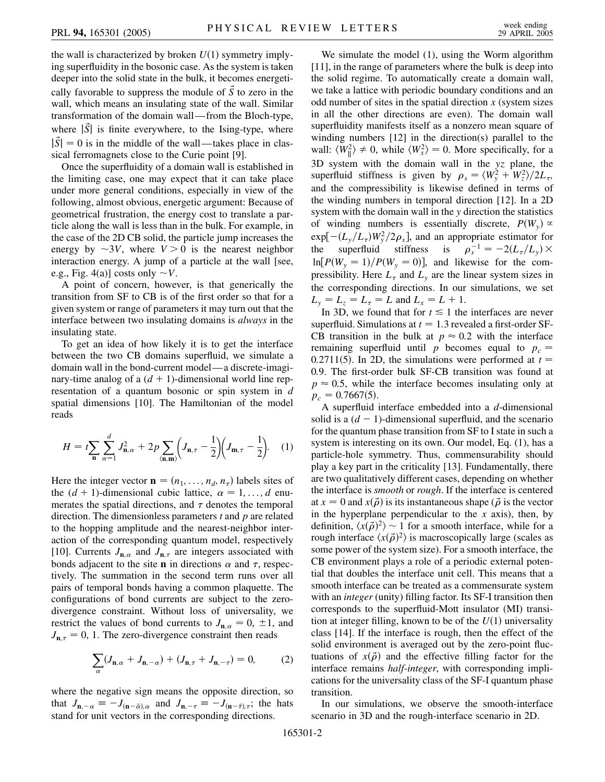the wall is characterized by broken  $U(1)$  symmetry implying superfluidity in the bosonic case. As the system is taken deeper into the solid state in the bulk, it becomes energetically favorable to suppress the module of  $\vec{S}$  to zero in the wall, which means an insulating state of the wall. Similar transformation of the domain wall—from the Bloch-type, where  $|\vec{S}|$  is finite everywhere, to the Ising-type, where  $|\dot{S}| = 0$  is in the middle of the wall—takes place in classical ferromagnets close to the Curie point [9].

Once the superfluidity of a domain wall is established in the limiting case, one may expect that it can take place under more general conditions, especially in view of the following, almost obvious, energetic argument: Because of geometrical frustration, the energy cost to translate a particle along the wall is less than in the bulk. For example, in the case of the 2D CB solid, the particle jump increases the energy by  $\sim 3V$ , where  $V > 0$  is the nearest neighbor interaction energy. A jump of a particle at the wall [see, e.g., Fig. 4(a)] costs only  $\sim$ *V*.

A point of concern, however, is that generically the transition from SF to CB is of the first order so that for a given system or range of parameters it may turn out that the interface between two insulating domains is *always* in the insulating state.

To get an idea of how likely it is to get the interface between the two CB domains superfluid, we simulate a domain wall in the bond-current model—a discrete-imaginary-time analog of a  $(d + 1)$ -dimensional world line representation of a quantum bosonic or spin system in *d* spatial dimensions [10]. The Hamiltonian of the model reads

$$
H = t \sum_{\mathbf{n}} \sum_{\alpha=1}^{d} J_{\mathbf{n},\alpha}^{2} + 2p \sum_{\langle \mathbf{n}, \mathbf{m} \rangle} \left( J_{\mathbf{n},\tau} - \frac{1}{2} \right) \left( J_{\mathbf{m},\tau} - \frac{1}{2} \right).
$$
 (1)

Here the integer vector  $\mathbf{n} = (n_1, \ldots, n_d, n_\tau)$  labels sites of the  $(d + 1)$ -dimensional cubic lattice,  $\alpha = 1, \ldots, d$  enumerates the spatial directions, and  $\tau$  denotes the temporal direction. The dimensionless parameters *t* and *p* are related to the hopping amplitude and the nearest-neighbor interaction of the corresponding quantum model, respectively [10]. Currents  $J_{n,\alpha}$  and  $J_{n,\tau}$  are integers associated with bonds adjacent to the site **n** in directions  $\alpha$  and  $\tau$ , respectively. The summation in the second term runs over all pairs of temporal bonds having a common plaquette. The configurations of bond currents are subject to the zerodivergence constraint. Without loss of universality, we restrict the values of bond currents to  $J_{\mathbf{n},\alpha} = 0, \pm 1$ , and  $J_{n,\tau} = 0$ , 1. The zero-divergence constraint then reads

$$
\sum_{\alpha} (J_{\mathbf{n},\alpha} + J_{\mathbf{n},-\alpha}) + (J_{\mathbf{n},\tau} + J_{\mathbf{n},-\tau}) = 0, \tag{2}
$$

where the negative sign means the opposite direction, so that  $J_{\mathbf{n}, -\alpha} \equiv -J_{(\mathbf{n}-\hat{\alpha})\alpha}$  and  $J_{\mathbf{n}, -\tau} \equiv -J_{(\mathbf{n}-\hat{\tau})\sigma}$ ; the hats stand for unit vectors in the corresponding directions.

We simulate the model (1), using the Worm algorithm [11], in the range of parameters where the bulk is deep into the solid regime. To automatically create a domain wall, we take a lattice with periodic boundary conditions and an odd number of sites in the spatial direction *x* (system sizes in all the other directions are even). The domain wall superfluidity manifests itself as a nonzero mean square of winding numbers [12] in the direction(s) parallel to the wall:  $\langle W_{\parallel}^2 \rangle \neq 0$ , while  $\langle W_x^2 \rangle = 0$ . More specifically, for a 3D system with the domain wall in the *yz* plane, the superfluid stiffness is given by  $\rho_s = \langle W_y^2 + W_z^2 \rangle / 2L_\tau$ , and the compressibility is likewise defined in terms of the winding numbers in temporal direction [12]. In a 2D system with the domain wall in the *y* direction the statistics of winding numbers is essentially discrete,  $P(W_y) \propto$  $exp[-(L_y/L_\tau)W_y^2/2\rho_s]$ , and an appropriate estimator for the superfluid stiffness is  $\rho_s^{-1} = -2(L_\tau/L_y) \times$  $ln[P(W_y = 1)/P(W_y = 0)]$ , and likewise for the compressibility. Here  $L_{\tau}$  and  $L_{\nu}$  are the linear system sizes in the corresponding directions. In our simulations, we set  $L_{y} = L_{z} = L_{\tau} = L$  and  $L_{x} = L + 1$ .

In 3D, we found that for  $t \leq 1$  the interfaces are never superfluid. Simulations at  $t = 1.3$  revealed a first-order SF-CB transition in the bulk at  $p \approx 0.2$  with the interface remaining superfluid until *p* becomes equal to  $p_c$ 0.2711(5). In 2D, the simulations were performed at  $t =$ 0*:*9. The first-order bulk SF-CB transition was found at  $p \approx 0.5$ , while the interface becomes insulating only at  $p_c = 0.7667(5).$ 

A superfluid interface embedded into a *d*-dimensional solid is a  $(d - 1)$ -dimensional superfluid, and the scenario for the quantum phase transition from SF to I state in such a system is interesting on its own. Our model, Eq. (1), has a particle-hole symmetry. Thus, commensurability should play a key part in the criticality [13]. Fundamentally, there are two qualitatively different cases, depending on whether the interface is *smooth* or *rough*. If the interface is centered at  $x = 0$  and  $x(\vec{\rho})$  is its instantaneous shape ( $\vec{\rho}$  is the vector in the hyperplane perpendicular to the *x* axis), then, by definition,  $\langle x(\vec{\rho})^2 \rangle \sim 1$  for a smooth interface, while for a rough interface  $\langle x(\vec{\rho})^2 \rangle$  is macroscopically large (scales as some power of the system size). For a smooth interface, the CB environment plays a role of a periodic external potential that doubles the interface unit cell. This means that a smooth interface can be treated as a commensurate system with an *integer* (unity) filling factor. Its SF-I transition then corresponds to the superfluid-Mott insulator (MI) transition at integer filling, known to be of the  $U(1)$  universality class [14]. If the interface is rough, then the effect of the solid environment is averaged out by the zero-point fluctuations of  $x(\vec{\rho})$  and the effective filling factor for the interface remains *half-integer*, with corresponding implications for the universality class of the SF-I quantum phase transition.

In our simulations, we observe the smooth-interface scenario in 3D and the rough-interface scenario in 2D.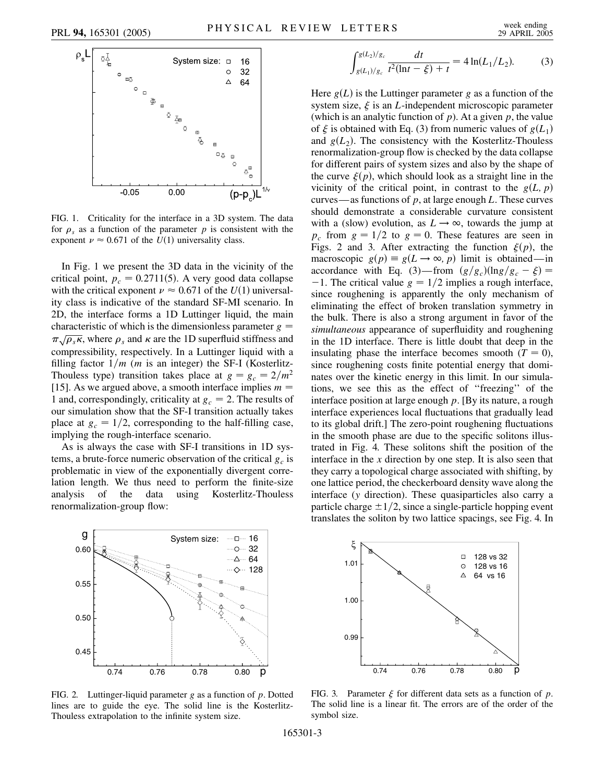

FIG. 1. Criticality for the interface in a 3D system. The data for  $\rho_s$  as a function of the parameter  $p$  is consistent with the exponent  $\nu \approx 0.671$  of the  $U(1)$  universality class.

In Fig. 1 we present the 3D data in the vicinity of the critical point,  $p_c = 0.2711(5)$ . A very good data collapse with the critical exponent  $\nu \approx 0.671$  of the  $U(1)$  universality class is indicative of the standard SF-MI scenario. In 2D, the interface forms a 1D Luttinger liquid, the main characteristic of which is the dimensionless parameter  $g =$  $\pi \sqrt{\rho_s \kappa}$ , where  $\rho_s$  and  $\kappa$  are the 1D superfluid stiffness and compressibility, respectively. In a Luttinger liquid with a filling factor  $1/m$  (*m* is an integer) the SF-I (Kosterlitz-Thouless type) transition takes place at  $g = g_c = 2/m^2$ [15]. As we argued above, a smooth interface implies *m* 1 and, correspondingly, criticality at  $g_c = 2$ . The results of our simulation show that the SF-I transition actually takes place at  $g_c = 1/2$ , corresponding to the half-filling case, implying the rough-interface scenario.

As is always the case with SF-I transitions in 1D systems, a brute-force numeric observation of the critical  $g_c$  is problematic in view of the exponentially divergent correlation length. We thus need to perform the finite-size analysis of the data using Kosterlitz-Thouless renormalization-group flow:





$$
\int_{g(L_1)/g_c}^{g(L_2)/g_c} \frac{dt}{t^2(\ln t - \xi) + t} = 4\ln(L_1/L_2). \tag{3}
$$

Here  $g(L)$  is the Luttinger parameter  $g$  as a function of the system size,  $\xi$  is an *L*-independent microscopic parameter (which is an analytic function of *p*). At a given *p*, the value of  $\xi$  is obtained with Eq. (3) from numeric values of  $g(L_1)$ and  $g(L_2)$ . The consistency with the Kosterlitz-Thouless renormalization-group flow is checked by the data collapse for different pairs of system sizes and also by the shape of the curve  $\xi(p)$ , which should look as a straight line in the vicinity of the critical point, in contrast to the  $g(L, p)$ curves—as functions of *p*, at large enough *L*. These curves should demonstrate a considerable curvature consistent with a (slow) evolution, as  $L \rightarrow \infty$ , towards the jump at  $p_c$  from  $g = 1/2$  to  $g = 0$ . These features are seen in Figs. 2 and 3. After extracting the function  $\xi(p)$ , the macroscopic  $g(p) \equiv g(L \rightarrow \infty, p)$  limit is obtained—in accordance with Eq. (3)—from  $(g/g_c)(\ln g/g_c - \xi)$  =  $-1$ . The critical value  $g = 1/2$  implies a rough interface, since roughening is apparently the only mechanism of eliminating the effect of broken translation symmetry in the bulk. There is also a strong argument in favor of the *simultaneous* appearance of superfluidity and roughening in the 1D interface. There is little doubt that deep in the insulating phase the interface becomes smooth  $(T = 0)$ , since roughening costs finite potential energy that dominates over the kinetic energy in this limit. In our simulations, we see this as the effect of ''freezing'' of the interface position at large enough *p*. [By its nature, a rough interface experiences local fluctuations that gradually lead to its global drift.] The zero-point roughening fluctuations in the smooth phase are due to the specific solitons illustrated in Fig. 4. These solitons shift the position of the interface in the *x* direction by one step. It is also seen that they carry a topological charge associated with shifting, by one lattice period, the checkerboard density wave along the interface (*y* direction). These quasiparticles also carry a particle charge  $\pm 1/2$ , since a single-particle hopping event translates the soliton by two lattice spacings, see Fig. 4. In



FIG. 3. Parameter  $\xi$  for different data sets as a function of  $p$ . The solid line is a linear fit. The errors are of the order of the symbol size.